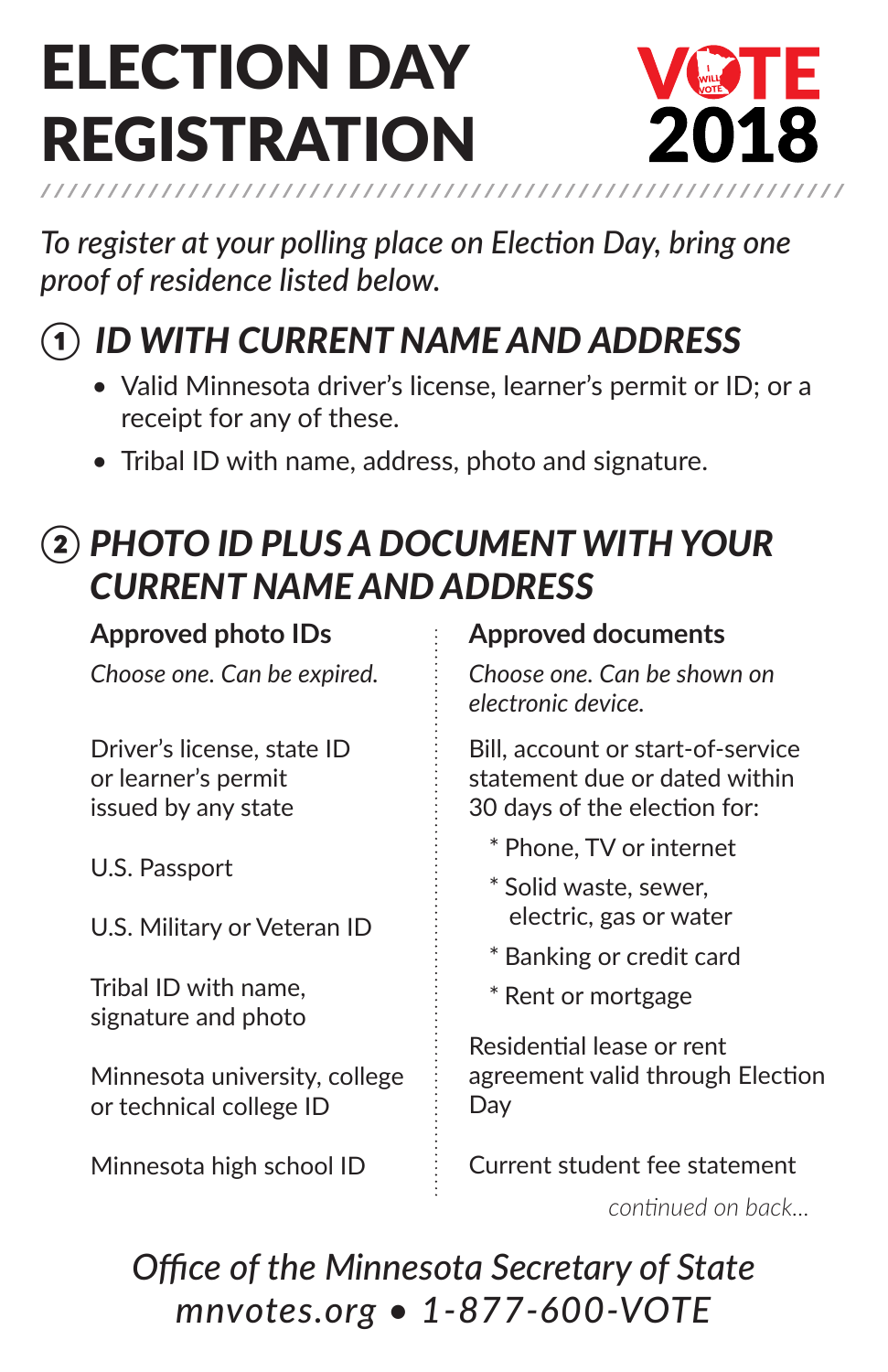# **ELECTION DAY** rEGISTRATION



*To register at your polling place on Election Day, bring one proof of residence listed below.*

## *① ID with current name and address*

- Valid Minnesota driver's license, learner's permit or ID; or a receipt for any of these.
- Tribal ID with name, address, photo and signature.

### *② Photo ID PLUS a Document with Your current name and address*

#### **Approved photo IDs**

*Choose one. Can be expired.*

Driver's license, state ID or learner's permit issued by any state

U.S. Passport

U.S. Military or Veteran ID

Tribal ID with name, signature and photo

Minnesota university, college or technical college ID

Minnesota high school ID

#### **Approved documents**

*Choose one. Can be shown on electronic device.*

Bill, account or start-of-service statement due or dated within 30 days of the election for:

- \* Phone, TV or internet
- \* Solid waste, sewer, electric, gas or water
- \* Banking or credit card
- \* Rent or mortgage

Residential lease or rent agreement valid through Election Day

Current student fee statement

*continued on back...*

*Office of the Minnesota Secretary of State mnvotes.org • 1-877-600-VOTE*